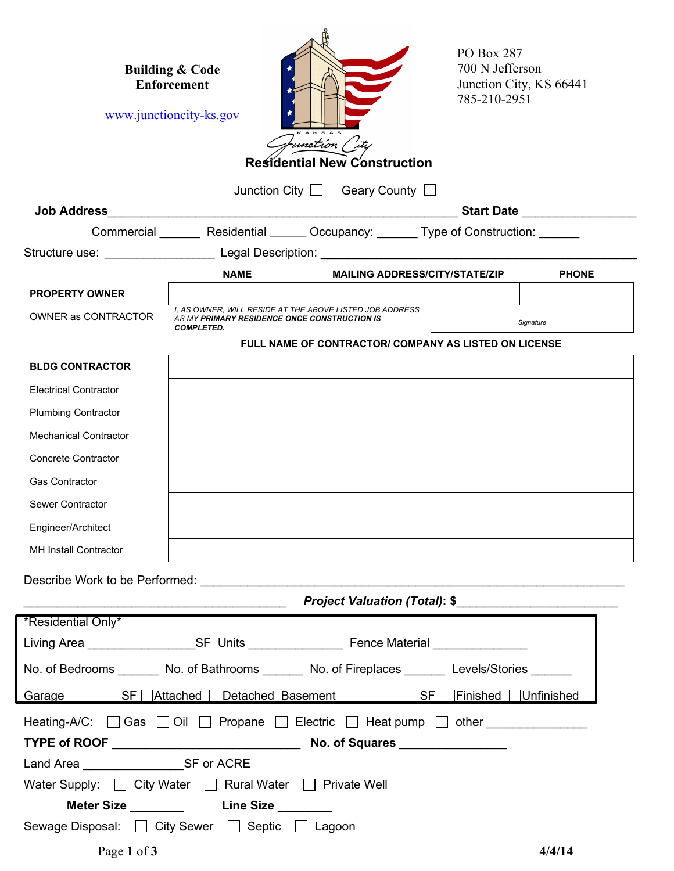|                                                                                                   | <b>Building &amp; Code</b><br><b>Enforcement</b><br>www.junctioncity-ks.gov                                                   | 'unct <i>io</i> n (<br><b>Residential New Construction</b> | PO Box 287<br>700 N Jefferson<br>Junction City, KS 66441<br>785-210-2951 |              |  |  |  |  |
|---------------------------------------------------------------------------------------------------|-------------------------------------------------------------------------------------------------------------------------------|------------------------------------------------------------|--------------------------------------------------------------------------|--------------|--|--|--|--|
| Junction City   Geary County                                                                      |                                                                                                                               |                                                            |                                                                          |              |  |  |  |  |
| <b>Job Address</b>                                                                                |                                                                                                                               | <u> 1989 - Johann Barbara, martin amerikan basa</u>        |                                                                          |              |  |  |  |  |
|                                                                                                   | Commercial Residential Cocupancy: Type of Construction: Commercial                                                            |                                                            |                                                                          |              |  |  |  |  |
| Structure use: _____________________ Legal Description: ________________________                  |                                                                                                                               |                                                            |                                                                          |              |  |  |  |  |
|                                                                                                   | <b>NAME</b>                                                                                                                   | <b>MAILING ADDRESS/CITY/STATE/ZIP</b>                      |                                                                          | <b>PHONE</b> |  |  |  |  |
| <b>PROPERTY OWNER</b>                                                                             |                                                                                                                               |                                                            |                                                                          |              |  |  |  |  |
| <b>OWNER as CONTRACTOR</b>                                                                        | I. AS OWNER. WILL RESIDE AT THE ABOVE LISTED JOB ADDRESS<br>AS MY PRIMARY RESIDENCE ONCE CONSTRUCTION IS<br><b>COMPLETED.</b> |                                                            |                                                                          | Signature    |  |  |  |  |
|                                                                                                   | FULL NAME OF CONTRACTOR/ COMPANY AS LISTED ON LICENSE                                                                         |                                                            |                                                                          |              |  |  |  |  |
| <b>BLDG CONTRACTOR</b>                                                                            |                                                                                                                               |                                                            |                                                                          |              |  |  |  |  |
| <b>Electrical Contractor</b>                                                                      |                                                                                                                               |                                                            |                                                                          |              |  |  |  |  |
| <b>Plumbing Contractor</b>                                                                        |                                                                                                                               |                                                            |                                                                          |              |  |  |  |  |
| <b>Mechanical Contractor</b>                                                                      |                                                                                                                               |                                                            |                                                                          |              |  |  |  |  |
| <b>Concrete Contractor</b>                                                                        |                                                                                                                               |                                                            |                                                                          |              |  |  |  |  |
| <b>Gas Contractor</b>                                                                             |                                                                                                                               |                                                            |                                                                          |              |  |  |  |  |
| Sewer Contractor                                                                                  |                                                                                                                               |                                                            |                                                                          |              |  |  |  |  |
| Engineer/Architect                                                                                |                                                                                                                               |                                                            |                                                                          |              |  |  |  |  |
| <b>MH Install Contractor</b>                                                                      |                                                                                                                               |                                                            |                                                                          |              |  |  |  |  |
|                                                                                                   |                                                                                                                               |                                                            |                                                                          |              |  |  |  |  |
|                                                                                                   |                                                                                                                               |                                                            |                                                                          |              |  |  |  |  |
| *Residential Only*                                                                                | <u> 1989 - Johann Stone, fransk politiker (d. 1989)</u>                                                                       | <b>Project Valuation (Total): \$</b>                       |                                                                          |              |  |  |  |  |
|                                                                                                   |                                                                                                                               |                                                            |                                                                          |              |  |  |  |  |
|                                                                                                   |                                                                                                                               |                                                            |                                                                          |              |  |  |  |  |
| No. of Bedrooms ________ No. of Bathrooms _______ No. of Fireplaces _______ Levels/Stories ______ |                                                                                                                               |                                                            |                                                                          |              |  |  |  |  |
| Garage SF Attached Detached Basement SF Finished Unfinished                                       |                                                                                                                               |                                                            |                                                                          |              |  |  |  |  |
| Heating-A/C: □ Gas □ Oil □ Propane □ Electric □ Heat pump □ other _____________                   |                                                                                                                               |                                                            |                                                                          |              |  |  |  |  |
|                                                                                                   |                                                                                                                               |                                                            |                                                                          |              |  |  |  |  |
| Land Area _________________________SF or ACRE                                                     |                                                                                                                               |                                                            |                                                                          |              |  |  |  |  |
| Water Supply: City Water Rural Water Private Well                                                 |                                                                                                                               |                                                            |                                                                          |              |  |  |  |  |
|                                                                                                   |                                                                                                                               |                                                            |                                                                          |              |  |  |  |  |
| Sewage Disposal: □ City Sewer □ Septic □ Lagoon                                                   |                                                                                                                               |                                                            |                                                                          |              |  |  |  |  |
| Page 1 of 3                                                                                       |                                                                                                                               |                                                            |                                                                          | 4/4/14       |  |  |  |  |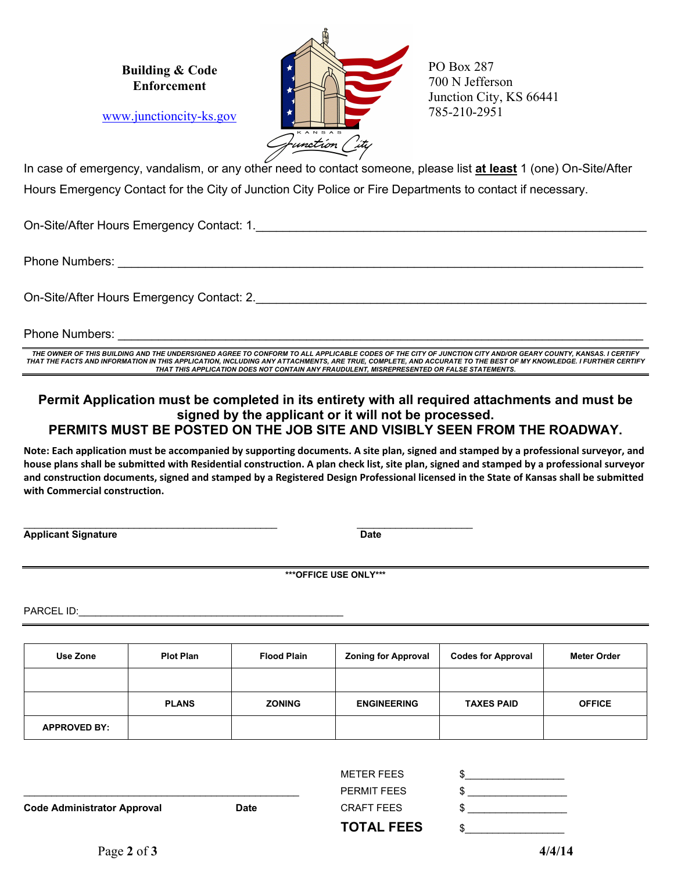**Building & Code Enforcement**

www.junctioncity-ks.gov



PO Box 287 700 N Jefferson Junction City, KS 66441 785-210-2951

In case of emergency, vandalism, or any other need to contact someone, please list **at least** 1 (one) On-Site/After Hours Emergency Contact for the City of Junction City Police or Fire Departments to contact if necessary.

On-Site/After Hours Emergency Contact: 1.

Phone Numbers:

On-Site/After Hours Emergency Contact: 2.

Phone Numbers:

*THE OWNER OF THIS BUILDING AND THE UNDERSIGNED AGREE TO CONFORM TO ALL APPLICABLE CODES OF THE CITY OF JUNCTION CITY AND/OR GEARY COUNTY, KANSAS. I CERTIFY THAT THE FACTS AND INFORMATION IN THIS APPLICATION, INCLUDING ANY ATTACHMENTS, ARE TRUE, COMPLETE, AND ACCURATE TO THE BEST OF MY KNOWLEDGE. I FURTHER CERTIFY THAT THIS APPLICATION DOES NOT CONTAIN ANY FRAUDULENT, MISREPRESENTED OR FALSE STATEMENTS.*

## **Permit Application must be completed in its entirety with all required attachments and must be signed by the applicant or it will not be processed. PERMITS MUST BE POSTED ON THE JOB SITE AND VISIBLY SEEN FROM THE ROADWAY.**

**Note: Each application must be accompanied by supporting documents. A site plan, signed and stamped by a professional surveyor, and house plans shall be submitted with Residential construction. A plan check list, site plan, signed and stamped by a professional surveyor and construction documents, signed and stamped by a Registered Design Professional licensed in the State of Kansas shall be submitted with Commercial construction.**

**Applicant Signature Date Applicant Signature Community Contract Community Community Community Community Community** 

\_\_\_\_\_\_\_\_\_\_\_\_\_\_\_\_\_\_\_\_\_\_\_\_\_\_\_\_\_\_\_\_\_\_\_\_\_\_\_\_\_\_\_\_\_\_ \_\_\_\_\_\_\_\_\_\_\_\_\_\_\_\_\_\_\_\_\_

**\*\*\*OFFICE USE ONLY\*\*\***

PARCEL ID:

| Use Zone            | <b>Plot Plan</b> | <b>Flood Plain</b> | <b>Zoning for Approval</b> | <b>Codes for Approval</b> | <b>Meter Order</b> |
|---------------------|------------------|--------------------|----------------------------|---------------------------|--------------------|
|                     |                  |                    |                            |                           |                    |
|                     | <b>PLANS</b>     | <b>ZONING</b>      | <b>ENGINEERING</b>         | <b>TAXES PAID</b>         | <b>OFFICE</b>      |
| <b>APPROVED BY:</b> |                  |                    |                            |                           |                    |

| <b>Code Administrator Approval</b> | <b>Date</b> | <b>PERMIT FEES</b><br><b>CRAFT FEES</b> |  |
|------------------------------------|-------------|-----------------------------------------|--|
|                                    |             | <b>TOTAL FEES</b>                       |  |